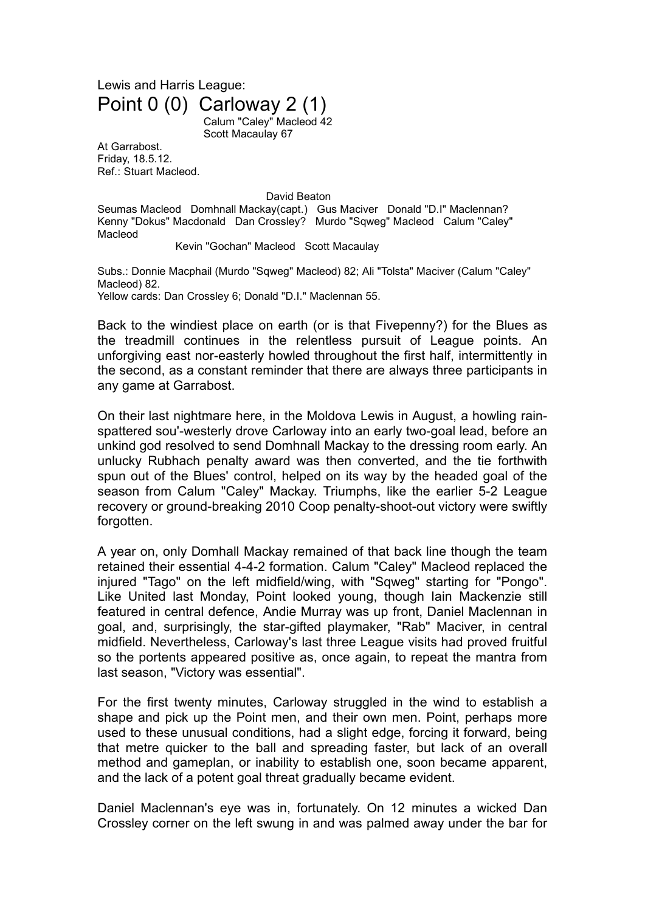## Lewis and Harris League: Point 0 (0) Carloway 2 (1)

Calum "Caley" Macleod 42 Scott Macaulay 67

At Garrabost. Friday, 18.5.12. Ref.: Stuart Macleod.

David Beaton

Seumas Macleod Domhnall Mackay(capt.) Gus Maciver Donald "D.I" Maclennan? Kenny "Dokus" Macdonald Dan Crossley? Murdo "Sqweg" Macleod Calum "Caley" Macleod

Kevin "Gochan" Macleod Scott Macaulay

Subs.: Donnie Macphail (Murdo "Sqweg" Macleod) 82; Ali "Tolsta" Maciver (Calum "Caley" Macleod) 82. Yellow cards: Dan Crossley 6; Donald "D.I." Maclennan 55.

Back to the windiest place on earth (or is that Fivepenny?) for the Blues as the treadmill continues in the relentless pursuit of League points. An unforgiving east nor-easterly howled throughout the first half, intermittently in the second, as a constant reminder that there are always three participants in

any game at Garrabost.

On their last nightmare here, in the Moldova Lewis in August, a howling rainspattered sou'-westerly drove Carloway into an early two-goal lead, before an unkind god resolved to send Domhnall Mackay to the dressing room early. An unlucky Rubhach penalty award was then converted, and the tie forthwith spun out of the Blues' control, helped on its way by the headed goal of the season from Calum "Caley" Mackay. Triumphs, like the earlier 5-2 League recovery or ground-breaking 2010 Coop penalty-shoot-out victory were swiftly forgotten.

A year on, only Domhall Mackay remained of that back line though the team retained their essential 4-4-2 formation. Calum "Caley" Macleod replaced the injured "Tago" on the left midfield/wing, with "Sqweg" starting for "Pongo". Like United last Monday, Point looked young, though Iain Mackenzie still featured in central defence, Andie Murray was up front, Daniel Maclennan in goal, and, surprisingly, the star-gifted playmaker, "Rab" Maciver, in central midfield. Nevertheless, Carloway's last three League visits had proved fruitful so the portents appeared positive as, once again, to repeat the mantra from last season, "Victory was essential".

For the first twenty minutes, Carloway struggled in the wind to establish a shape and pick up the Point men, and their own men. Point, perhaps more used to these unusual conditions, had a slight edge, forcing it forward, being that metre quicker to the ball and spreading faster, but lack of an overall method and gameplan, or inability to establish one, soon became apparent, and the lack of a potent goal threat gradually became evident.

Daniel Maclennan's eye was in, fortunately. On 12 minutes a wicked Dan Crossley corner on the left swung in and was palmed away under the bar for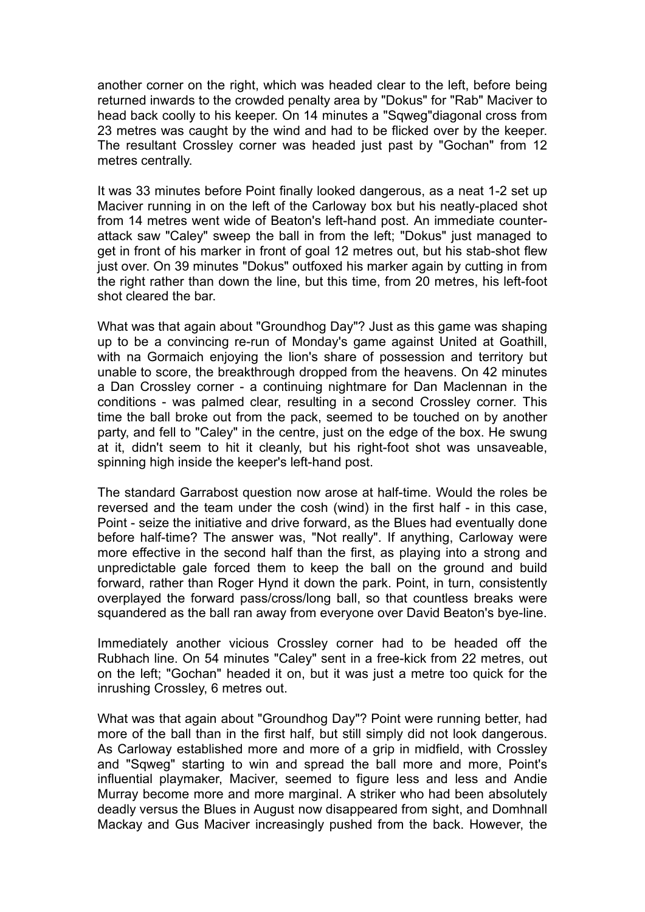another corner on the right, which was headed clear to the left, before being returned inwards to the crowded penalty area by "Dokus" for "Rab" Maciver to head back coolly to his keeper. On 14 minutes a "Sqweg"diagonal cross from 23 metres was caught by the wind and had to be flicked over by the keeper. The resultant Crossley corner was headed just past by "Gochan" from 12 metres centrally.

It was 33 minutes before Point finally looked dangerous, as a neat 1-2 set up Maciver running in on the left of the Carloway box but his neatly-placed shot from 14 metres went wide of Beaton's left-hand post. An immediate counterattack saw "Caley" sweep the ball in from the left; "Dokus" just managed to get in front of his marker in front of goal 12 metres out, but his stab-shot flew just over. On 39 minutes "Dokus" outfoxed his marker again by cutting in from the right rather than down the line, but this time, from 20 metres, his left-foot shot cleared the bar.

What was that again about "Groundhog Day"? Just as this game was shaping up to be a convincing re-run of Monday's game against United at Goathill, with na Gormaich enjoying the lion's share of possession and territory but unable to score, the breakthrough dropped from the heavens. On 42 minutes a Dan Crossley corner - a continuing nightmare for Dan Maclennan in the conditions - was palmed clear, resulting in a second Crossley corner. This time the ball broke out from the pack, seemed to be touched on by another party, and fell to "Caley" in the centre, just on the edge of the box. He swung at it, didn't seem to hit it cleanly, but his right-foot shot was unsaveable, spinning high inside the keeper's left-hand post.

The standard Garrabost question now arose at half-time. Would the roles be reversed and the team under the cosh (wind) in the first half - in this case, Point - seize the initiative and drive forward, as the Blues had eventually done before half-time? The answer was, "Not really". If anything, Carloway were more effective in the second half than the first, as playing into a strong and unpredictable gale forced them to keep the ball on the ground and build forward, rather than Roger Hynd it down the park. Point, in turn, consistently overplayed the forward pass/cross/long ball, so that countless breaks were squandered as the ball ran away from everyone over David Beaton's bye-line.

Immediately another vicious Crossley corner had to be headed off the Rubhach line. On 54 minutes "Caley" sent in a free-kick from 22 metres, out on the left; "Gochan" headed it on, but it was just a metre too quick for the inrushing Crossley, 6 metres out.

What was that again about "Groundhog Day"? Point were running better, had more of the ball than in the first half, but still simply did not look dangerous. As Carloway established more and more of a grip in midfield, with Crossley and "Sqweg" starting to win and spread the ball more and more, Point's influential playmaker, Maciver, seemed to figure less and less and Andie Murray become more and more marginal. A striker who had been absolutely deadly versus the Blues in August now disappeared from sight, and Domhnall Mackay and Gus Maciver increasingly pushed from the back. However, the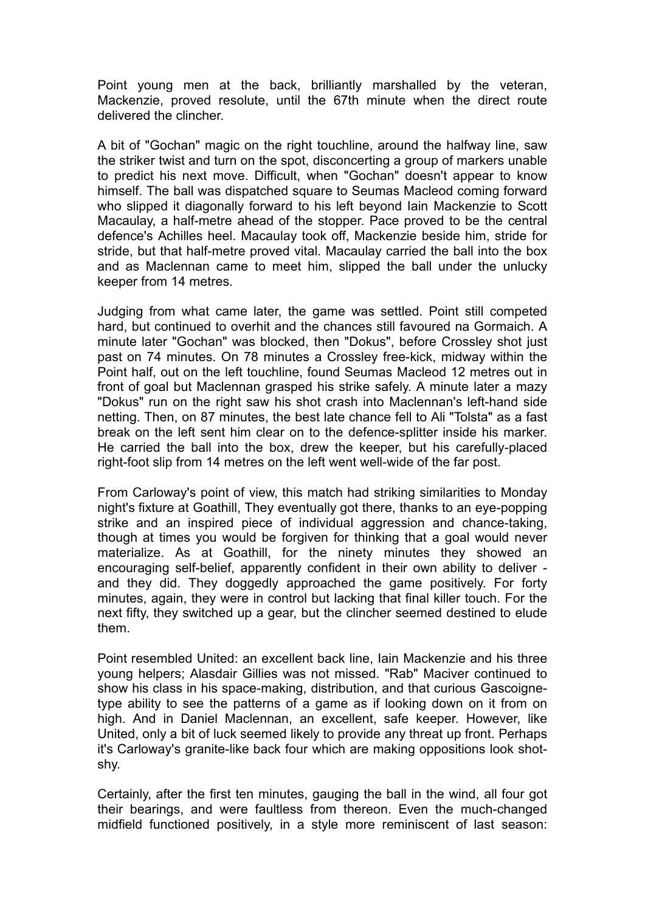Point young men at the back, brilliantly marshalled by the veteran, Mackenzie, proved resolute, until the 67th minute when the direct route delivered the clincher.

A bit of "Gochan" magic on the right touchline, around the halfway line, saw the striker twist and turn on the spot, disconcerting a group of markers unable to predict his next move. Difficult, when "Gochan" doesn't appear to know himself. The ball was dispatched square to Seumas Macleod coming forward who slipped it diagonally forward to his left beyond Iain Mackenzie to Scott Macaulay, a half-metre ahead of the stopper. Pace proved to be the central defence's Achilles heel. Macaulay took off, Mackenzie beside him, stride for stride, but that half-metre proved vital. Macaulay carried the ball into the box and as Maclennan came to meet him, slipped the ball under the unlucky keeper from 14 metres.

Judging from what came later, the game was settled. Point still competed hard, but continued to overhit and the chances still favoured na Gormaich. A minute later "Gochan" was blocked, then "Dokus", before Crossley shot just past on 74 minutes. On 78 minutes a Crossley free-kick, midway within the Point half, out on the left touchline, found Seumas Macleod 12 metres out in front of goal but Maclennan grasped his strike safely. A minute later a mazy "Dokus" run on the right saw his shot crash into Maclennan's left-hand side netting. Then, on 87 minutes, the best late chance fell to Ali "Tolsta" as a fast break on the left sent him clear on to the defence-splitter inside his marker. He carried the ball into the box, drew the keeper, but his carefully-placed right-foot slip from 14 metres on the left went well-wide of the far post.

From Carloway's point of view, this match had striking similarities to Monday night's fixture at Goathill, They eventually got there, thanks to an eye-popping strike and an inspired piece of individual aggression and chance-taking, though at times you would be forgiven for thinking that a goal would never materialize. As at Goathill, for the ninety minutes they showed an encouraging self-belief, apparently confident in their own ability to deliver and they did. They doggedly approached the game positively. For forty minutes, again, they were in control but lacking that final killer touch. For the next fifty, they switched up a gear, but the clincher seemed destined to elude them.

Point resembled United: an excellent back line, Iain Mackenzie and his three young helpers; Alasdair Gillies was not missed. "Rab" Maciver continued to show his class in his space-making, distribution, and that curious Gascoignetype ability to see the patterns of a game as if looking down on it from on high. And in Daniel Maclennan, an excellent, safe keeper. However, like United, only a bit of luck seemed likely to provide any threat up front. Perhaps it's Carloway's granite-like back four which are making oppositions look shotshy.

Certainly, after the first ten minutes, gauging the ball in the wind, all four got their bearings, and were faultless from thereon. Even the much-changed midfield functioned positively, in a style more reminiscent of last season: